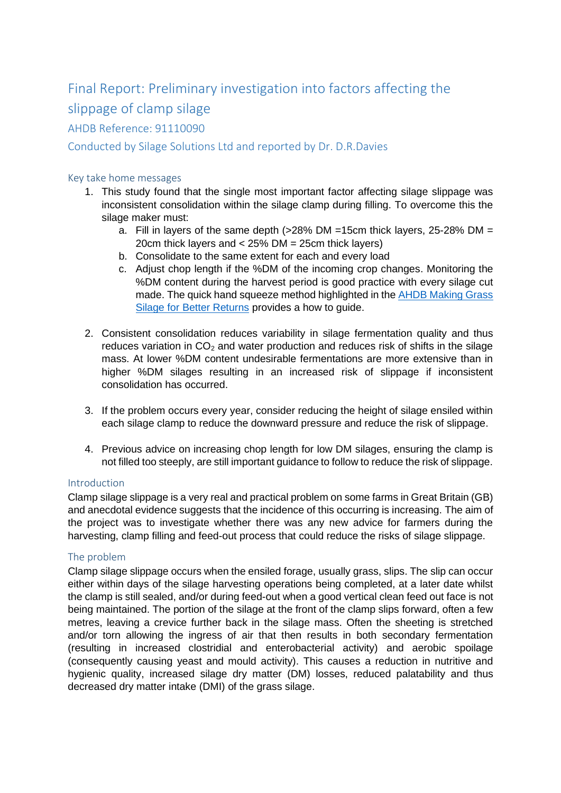# Final Report: Preliminary investigation into factors affecting the slippage of clamp silage

## AHDB Reference: 91110090

## Conducted by Silage Solutions Ltd and reported by Dr. D.R.Davies

### Key take home messages

- 1. This study found that the single most important factor affecting silage slippage was inconsistent consolidation within the silage clamp during filling. To overcome this the silage maker must:
	- a. Fill in layers of the same depth (>28% DM =15cm thick layers, 25-28% DM = 20cm thick layers and < 25% DM = 25cm thick layers)
	- b. Consolidate to the same extent for each and every load
	- c. Adjust chop length if the %DM of the incoming crop changes. Monitoring the %DM content during the harvest period is good practice with every silage cut made. The quick hand squeeze method highlighted in th[e AHDB Making Grass](http://beefandlamb.ahdb.org.uk/wp-content/uploads/2018/06/Making-grass-silage-for-better-returns.pdf)  [Silage for Better Returns](http://beefandlamb.ahdb.org.uk/wp-content/uploads/2018/06/Making-grass-silage-for-better-returns.pdf) provides a how to guide.
- 2. Consistent consolidation reduces variability in silage fermentation quality and thus reduces variation in  $CO<sub>2</sub>$  and water production and reduces risk of shifts in the silage mass. At lower %DM content undesirable fermentations are more extensive than in higher %DM silages resulting in an increased risk of slippage if inconsistent consolidation has occurred.
- 3. If the problem occurs every year, consider reducing the height of silage ensiled within each silage clamp to reduce the downward pressure and reduce the risk of slippage.
- 4. Previous advice on increasing chop length for low DM silages, ensuring the clamp is not filled too steeply, are still important guidance to follow to reduce the risk of slippage.

### Introduction

Clamp silage slippage is a very real and practical problem on some farms in Great Britain (GB) and anecdotal evidence suggests that the incidence of this occurring is increasing. The aim of the project was to investigate whether there was any new advice for farmers during the harvesting, clamp filling and feed-out process that could reduce the risks of silage slippage.

### The problem

Clamp silage slippage occurs when the ensiled forage, usually grass, slips. The slip can occur either within days of the silage harvesting operations being completed, at a later date whilst the clamp is still sealed, and/or during feed-out when a good vertical clean feed out face is not being maintained. The portion of the silage at the front of the clamp slips forward, often a few metres, leaving a crevice further back in the silage mass. Often the sheeting is stretched and/or torn allowing the ingress of air that then results in both secondary fermentation (resulting in increased clostridial and enterobacterial activity) and aerobic spoilage (consequently causing yeast and mould activity). This causes a reduction in nutritive and hygienic quality, increased silage dry matter (DM) losses, reduced palatability and thus decreased dry matter intake (DMI) of the grass silage.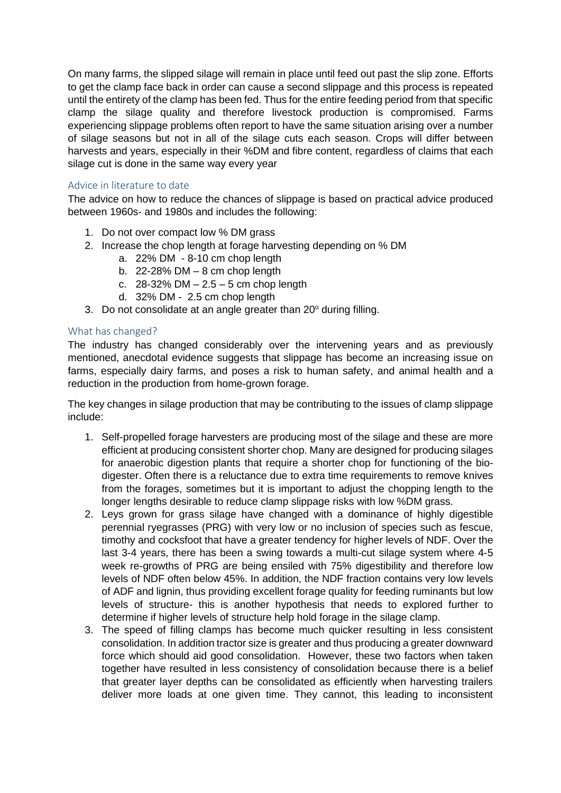On many farms, the slipped silage will remain in place until feed out past the slip zone. Efforts to get the clamp face back in order can cause a second slippage and this process is repeated until the entirety of the clamp has been fed. Thus for the entire feeding period from that specific clamp the silage quality and therefore livestock production is compromised. Farms experiencing slippage problems often report to have the same situation arising over a number of silage seasons but not in all of the silage cuts each season. Crops will differ between harvests and years, especially in their %DM and fibre content, regardless of claims that each silage cut is done in the same way every year

### Advice in literature to date

The advice on how to reduce the chances of slippage is based on practical advice produced between 1960s- and 1980s and includes the following:

- 1. Do not over compact low % DM grass
- 2. Increase the chop length at forage harvesting depending on % DM
	- a. 22% DM 8-10 cm chop length
	- b.  $22-28\%$  DM  $-8$  cm chop length
	- c. 28-32% DM 2.5 5 cm chop length
	- d. 32% DM 2.5 cm chop length
- 3. Do not consolidate at an angle greater than  $20^{\circ}$  during filling.

### What has changed?

The industry has changed considerably over the intervening years and as previously mentioned, anecdotal evidence suggests that slippage has become an increasing issue on farms, especially dairy farms, and poses a risk to human safety, and animal health and a reduction in the production from home-grown forage.

The key changes in silage production that may be contributing to the issues of clamp slippage include:

- 1. Self-propelled forage harvesters are producing most of the silage and these are more efficient at producing consistent shorter chop. Many are designed for producing silages for anaerobic digestion plants that require a shorter chop for functioning of the biodigester. Often there is a reluctance due to extra time requirements to remove knives from the forages, sometimes but it is important to adjust the chopping length to the longer lengths desirable to reduce clamp slippage risks with low %DM grass.
- 2. Leys grown for grass silage have changed with a dominance of highly digestible perennial ryegrasses (PRG) with very low or no inclusion of species such as fescue, timothy and cocksfoot that have a greater tendency for higher levels of NDF. Over the last 3-4 years, there has been a swing towards a multi-cut silage system where 4-5 week re-growths of PRG are being ensiled with 75% digestibility and therefore low levels of NDF often below 45%. In addition, the NDF fraction contains very low levels of ADF and lignin, thus providing excellent forage quality for feeding ruminants but low levels of structure- this is another hypothesis that needs to explored further to determine if higher levels of structure help hold forage in the silage clamp.
- 3. The speed of filling clamps has become much quicker resulting in less consistent consolidation. In addition tractor size is greater and thus producing a greater downward force which should aid good consolidation. However, these two factors when taken together have resulted in less consistency of consolidation because there is a belief that greater layer depths can be consolidated as efficiently when harvesting trailers deliver more loads at one given time. They cannot, this leading to inconsistent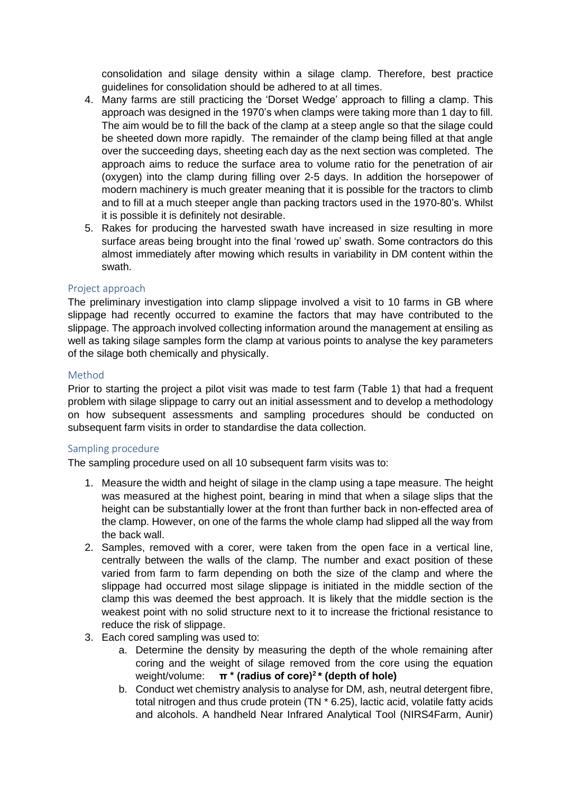consolidation and silage density within a silage clamp. Therefore, best practice guidelines for consolidation should be adhered to at all times.

- 4. Many farms are still practicing the 'Dorset Wedge' approach to filling a clamp. This approach was designed in the 1970's when clamps were taking more than 1 day to fill. The aim would be to fill the back of the clamp at a steep angle so that the silage could be sheeted down more rapidly. The remainder of the clamp being filled at that angle over the succeeding days, sheeting each day as the next section was completed. The approach aims to reduce the surface area to volume ratio for the penetration of air (oxygen) into the clamp during filling over 2-5 days. In addition the horsepower of modern machinery is much greater meaning that it is possible for the tractors to climb and to fill at a much steeper angle than packing tractors used in the 1970-80's. Whilst it is possible it is definitely not desirable.
- 5. Rakes for producing the harvested swath have increased in size resulting in more surface areas being brought into the final 'rowed up' swath. Some contractors do this almost immediately after mowing which results in variability in DM content within the swath.

### Project approach

The preliminary investigation into clamp slippage involved a visit to 10 farms in GB where slippage had recently occurred to examine the factors that may have contributed to the slippage. The approach involved collecting information around the management at ensiling as well as taking silage samples form the clamp at various points to analyse the key parameters of the silage both chemically and physically.

### Method

Prior to starting the project a pilot visit was made to test farm (Table 1) that had a frequent problem with silage slippage to carry out an initial assessment and to develop a methodology on how subsequent assessments and sampling procedures should be conducted on subsequent farm visits in order to standardise the data collection.

### Sampling procedure

The sampling procedure used on all 10 subsequent farm visits was to:

- 1. Measure the width and height of silage in the clamp using a tape measure. The height was measured at the highest point, bearing in mind that when a silage slips that the height can be substantially lower at the front than further back in non-effected area of the clamp. However, on one of the farms the whole clamp had slipped all the way from the back wall.
- 2. Samples, removed with a corer, were taken from the open face in a vertical line, centrally between the walls of the clamp. The number and exact position of these varied from farm to farm depending on both the size of the clamp and where the slippage had occurred most silage slippage is initiated in the middle section of the clamp this was deemed the best approach. It is likely that the middle section is the weakest point with no solid structure next to it to increase the frictional resistance to reduce the risk of slippage.
- 3. Each cored sampling was used to:
	- a. Determine the density by measuring the depth of the whole remaining after coring and the weight of silage removed from the core using the equation weight/volume: **π \* (radius of core)<sup>2</sup>\* (depth of hole)**
	- b. Conduct wet chemistry analysis to analyse for DM, ash, neutral detergent fibre, total nitrogen and thus crude protein (TN \* 6.25), lactic acid, volatile fatty acids and alcohols. A handheld Near Infrared Analytical Tool (NIRS4Farm, Aunir)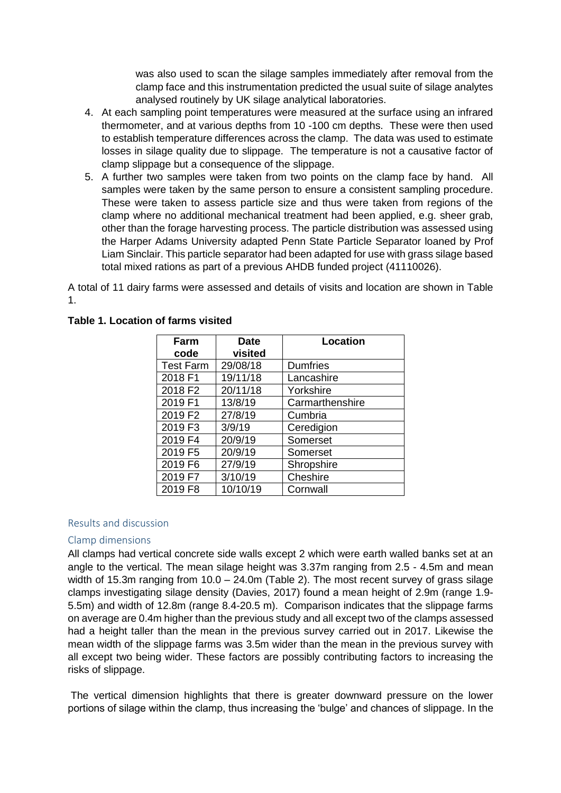was also used to scan the silage samples immediately after removal from the clamp face and this instrumentation predicted the usual suite of silage analytes analysed routinely by UK silage analytical laboratories.

- 4. At each sampling point temperatures were measured at the surface using an infrared thermometer, and at various depths from 10 -100 cm depths. These were then used to establish temperature differences across the clamp. The data was used to estimate losses in silage quality due to slippage. The temperature is not a causative factor of clamp slippage but a consequence of the slippage.
- 5. A further two samples were taken from two points on the clamp face by hand. All samples were taken by the same person to ensure a consistent sampling procedure. These were taken to assess particle size and thus were taken from regions of the clamp where no additional mechanical treatment had been applied, e.g. sheer grab, other than the forage harvesting process. The particle distribution was assessed using the Harper Adams University adapted Penn State Particle Separator loaned by Prof Liam Sinclair. This particle separator had been adapted for use with grass silage based total mixed rations as part of a previous AHDB funded project (41110026).

A total of 11 dairy farms were assessed and details of visits and location are shown in Table 1.

| Farm             | <b>Date</b> | <b>Location</b> |
|------------------|-------------|-----------------|
| code             | visited     |                 |
| <b>Test Farm</b> | 29/08/18    | <b>Dumfries</b> |
| 2018 F1          | 19/11/18    | Lancashire      |
| 2018 F2          | 20/11/18    | Yorkshire       |
| 2019 F1          | 13/8/19     | Carmarthenshire |
| 2019 F2          | 27/8/19     | Cumbria         |
| 2019 F3          | 3/9/19      | Ceredigion      |
| 2019 F4          | 20/9/19     | Somerset        |
| 2019 F5          | 20/9/19     | Somerset        |
| 2019 F6          | 27/9/19     | Shropshire      |
| 2019 F7          | 3/10/19     | Cheshire        |
| 2019 F8          | 10/10/19    | Cornwall        |

### **Table 1. Location of farms visited**

### Results and discussion

### Clamp dimensions

All clamps had vertical concrete side walls except 2 which were earth walled banks set at an angle to the vertical. The mean silage height was 3.37m ranging from 2.5 - 4.5m and mean width of 15.3m ranging from 10.0 – 24.0m (Table 2). The most recent survey of grass silage clamps investigating silage density (Davies, 2017) found a mean height of 2.9m (range 1.9- 5.5m) and width of 12.8m (range 8.4-20.5 m). Comparison indicates that the slippage farms on average are 0.4m higher than the previous study and all except two of the clamps assessed had a height taller than the mean in the previous survey carried out in 2017. Likewise the mean width of the slippage farms was 3.5m wider than the mean in the previous survey with all except two being wider. These factors are possibly contributing factors to increasing the risks of slippage.

The vertical dimension highlights that there is greater downward pressure on the lower portions of silage within the clamp, thus increasing the 'bulge' and chances of slippage. In the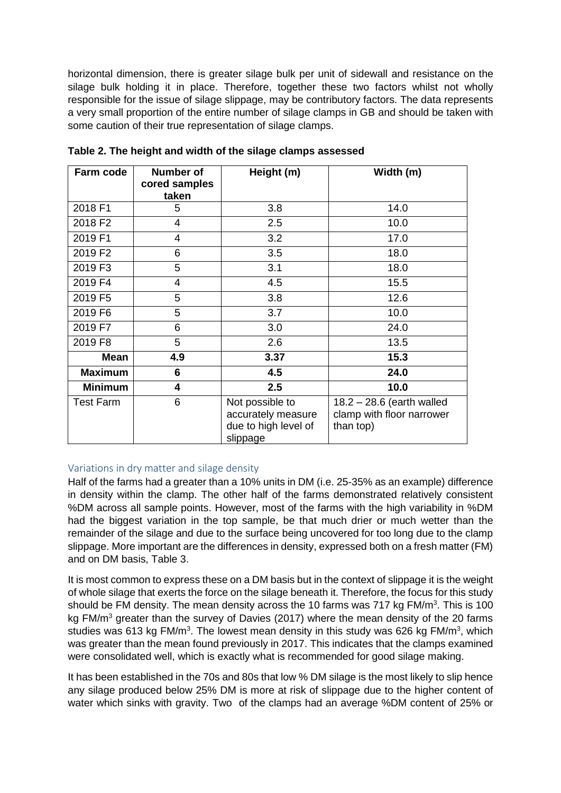horizontal dimension, there is greater silage bulk per unit of sidewall and resistance on the silage bulk holding it in place. Therefore, together these two factors whilst not wholly responsible for the issue of silage slippage, may be contributory factors. The data represents a very small proportion of the entire number of silage clamps in GB and should be taken with some caution of their true representation of silage clamps.

| Farm code        | <b>Number of</b><br>cored samples | Height (m)                                                                | Width (m)                                                             |
|------------------|-----------------------------------|---------------------------------------------------------------------------|-----------------------------------------------------------------------|
|                  | taken                             |                                                                           |                                                                       |
| 2018 F1          | 5                                 | 3.8                                                                       | 14.0                                                                  |
| 2018 F2          | $\overline{4}$                    | 2.5                                                                       | 10.0                                                                  |
| 2019 F1          | 4                                 | 3.2                                                                       | 17.0                                                                  |
| 2019 F2          | 6                                 | 3.5                                                                       | 18.0                                                                  |
| 2019 F3          | 5                                 | 3.1                                                                       | 18.0                                                                  |
| 2019 F4          | 4                                 | 4.5                                                                       | 15.5                                                                  |
| 2019 F5          | 5                                 | 3.8                                                                       | 12.6                                                                  |
| 2019 F6          | 5                                 | 3.7                                                                       | 10.0                                                                  |
| 2019 F7          | 6                                 | 3.0                                                                       | 24.0                                                                  |
| 2019 F8          | 5                                 | 2.6                                                                       | 13.5                                                                  |
| <b>Mean</b>      | 4.9                               | 3.37                                                                      | 15.3                                                                  |
| <b>Maximum</b>   | 6                                 | 4.5                                                                       | 24.0                                                                  |
| <b>Minimum</b>   | $\overline{\mathbf{4}}$           | 2.5                                                                       | 10.0                                                                  |
| <b>Test Farm</b> | 6                                 | Not possible to<br>accurately measure<br>due to high level of<br>slippage | $18.2 - 28.6$ (earth walled<br>clamp with floor narrower<br>than top) |

**Table 2. The height and width of the silage clamps assessed** 

# Variations in dry matter and silage density

Half of the farms had a greater than a 10% units in DM (i.e. 25-35% as an example) difference in density within the clamp. The other half of the farms demonstrated relatively consistent %DM across all sample points. However, most of the farms with the high variability in %DM had the biggest variation in the top sample, be that much drier or much wetter than the remainder of the silage and due to the surface being uncovered for too long due to the clamp slippage. More important are the differences in density, expressed both on a fresh matter (FM) and on DM basis, Table 3.

It is most common to express these on a DM basis but in the context of slippage it is the weight of whole silage that exerts the force on the silage beneath it. Therefore, the focus for this study should be FM density. The mean density across the 10 farms was 717 kg FM/m<sup>3</sup>. This is 100 kg FM/m<sup>3</sup> greater than the survey of Davies (2017) where the mean density of the 20 farms studies was 613 kg FM/m<sup>3</sup>. The lowest mean density in this study was 626 kg FM/m<sup>3</sup>, which was greater than the mean found previously in 2017. This indicates that the clamps examined were consolidated well, which is exactly what is recommended for good silage making.

It has been established in the 70s and 80s that low % DM silage is the most likely to slip hence any silage produced below 25% DM is more at risk of slippage due to the higher content of water which sinks with gravity. Two of the clamps had an average %DM content of 25% or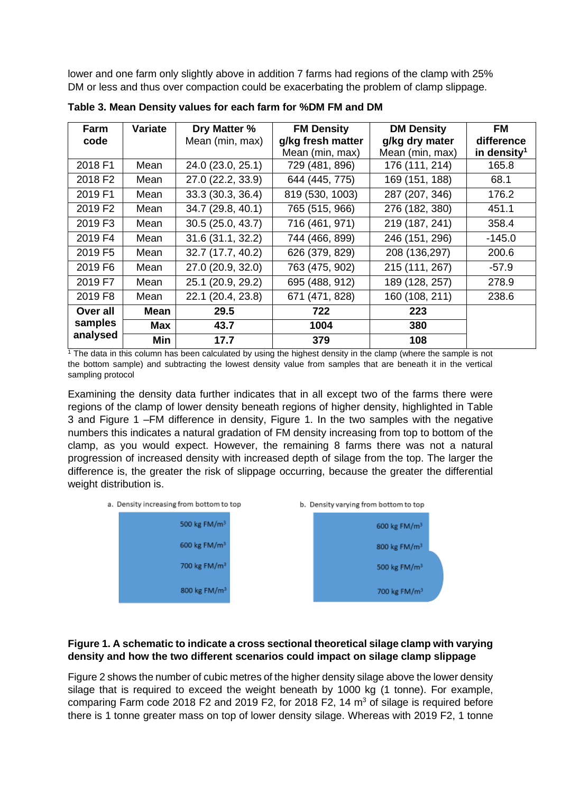lower and one farm only slightly above in addition 7 farms had regions of the clamp with 25% DM or less and thus over compaction could be exacerbating the problem of clamp slippage.

| Farm                | Variate    | Dry Matter %      | <b>FM Density</b> | <b>DM Density</b> | <b>FM</b>               |
|---------------------|------------|-------------------|-------------------|-------------------|-------------------------|
| code                |            | Mean (min, max)   | g/kg fresh matter | g/kg dry mater    | difference              |
|                     |            |                   | Mean (min, max)   | Mean (min, max)   | in density <sup>1</sup> |
| 2018 F1             | Mean       | 24.0 (23.0, 25.1) | 729 (481, 896)    | 176 (111, 214)    | 165.8                   |
| 2018 F <sub>2</sub> | Mean       | 27.0 (22.2, 33.9) | 644 (445, 775)    | 169 (151, 188)    | 68.1                    |
| 2019 F1             | Mean       | 33.3(30.3, 36.4)  | 819 (530, 1003)   | 287 (207, 346)    | 176.2                   |
| 2019 F2             | Mean       | 34.7 (29.8, 40.1) | 765 (515, 966)    | 276 (182, 380)    | 451.1                   |
| 2019 F3             | Mean       | 30.5(25.0, 43.7)  | 716 (461, 971)    | 219 (187, 241)    | 358.4                   |
| 2019 F4             | Mean       | 31.6 (31.1, 32.2) | 744 (466, 899)    | 246 (151, 296)    | -145.0                  |
| 2019 F5             | Mean       | 32.7 (17.7, 40.2) | 626 (379, 829)    | 208 (136,297)     | 200.6                   |
| 2019 F6             | Mean       | 27.0 (20.9, 32.0) | 763 (475, 902)    | 215 (111, 267)    | $-57.9$                 |
| 2019 F7             | Mean       | 25.1 (20.9, 29.2) | 695 (488, 912)    | 189 (128, 257)    | 278.9                   |
| 2019 F8             | Mean       | 22.1 (20.4, 23.8) | 671 (471, 828)    | 160 (108, 211)    | 238.6                   |
| Over all            | Mean       | 29.5              | 722               | 223               |                         |
| samples             | <b>Max</b> | 43.7              | 1004              | 380               |                         |
| analysed            | <b>Min</b> | 17.7              | 379               | 108               |                         |

**Table 3. Mean Density values for each farm for %DM FM and DM**

 $1$ <sup>1</sup> The data in this column has been calculated by using the highest density in the clamp (where the sample is not the bottom sample) and subtracting the lowest density value from samples that are beneath it in the vertical sampling protocol

Examining the density data further indicates that in all except two of the farms there were regions of the clamp of lower density beneath regions of higher density, highlighted in Table 3 and Figure 1 –FM difference in density, Figure 1. In the two samples with the negative numbers this indicates a natural gradation of FM density increasing from top to bottom of the clamp, as you would expect. However, the remaining 8 farms there was not a natural progression of increased density with increased depth of silage from the top. The larger the difference is, the greater the risk of slippage occurring, because the greater the differential weight distribution is.



### **Figure 1. A schematic to indicate a cross sectional theoretical silage clamp with varying density and how the two different scenarios could impact on silage clamp slippage**

Figure 2 shows the number of cubic metres of the higher density silage above the lower density silage that is required to exceed the weight beneath by 1000 kg (1 tonne). For example, comparing Farm code 2018 F2 and 2019 F2, for 2018 F2, 14  $m<sup>3</sup>$  of silage is required before there is 1 tonne greater mass on top of lower density silage. Whereas with 2019 F2, 1 tonne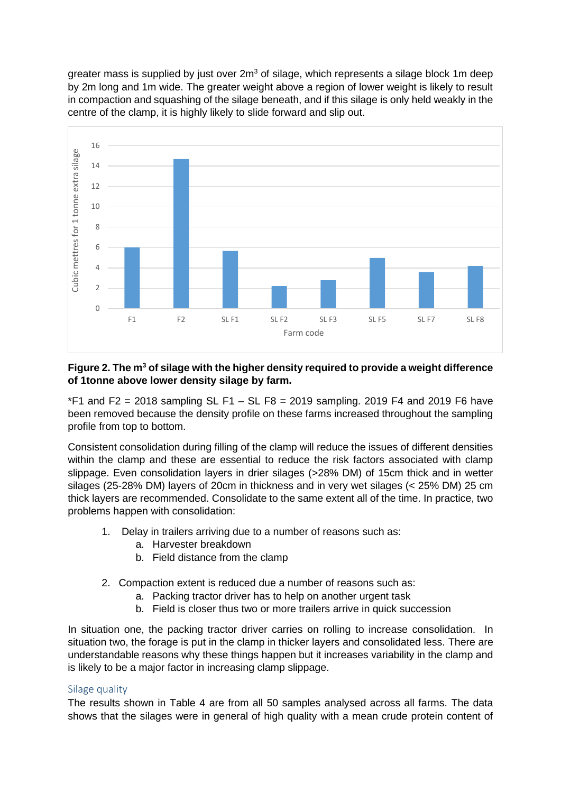greater mass is supplied by just over  $2m<sup>3</sup>$  of silage, which represents a silage block 1m deep by 2m long and 1m wide. The greater weight above a region of lower weight is likely to result in compaction and squashing of the silage beneath, and if this silage is only held weakly in the centre of the clamp, it is highly likely to slide forward and slip out.



### **Figure 2. The m<sup>3</sup> of silage with the higher density required to provide a weight difference of 1tonne above lower density silage by farm.**

 $*F1$  and F2 = 2018 sampling SL F1 – SL F8 = 2019 sampling. 2019 F4 and 2019 F6 have been removed because the density profile on these farms increased throughout the sampling profile from top to bottom.

Consistent consolidation during filling of the clamp will reduce the issues of different densities within the clamp and these are essential to reduce the risk factors associated with clamp slippage. Even consolidation layers in drier silages (>28% DM) of 15cm thick and in wetter silages (25-28% DM) layers of 20cm in thickness and in very wet silages (< 25% DM) 25 cm thick layers are recommended. Consolidate to the same extent all of the time. In practice, two problems happen with consolidation:

- 1. Delay in trailers arriving due to a number of reasons such as:
	- a. Harvester breakdown
	- b. Field distance from the clamp
- 2. Compaction extent is reduced due a number of reasons such as:
	- a. Packing tractor driver has to help on another urgent task
	- b. Field is closer thus two or more trailers arrive in quick succession

In situation one, the packing tractor driver carries on rolling to increase consolidation. In situation two, the forage is put in the clamp in thicker layers and consolidated less. There are understandable reasons why these things happen but it increases variability in the clamp and is likely to be a major factor in increasing clamp slippage.

### Silage quality

The results shown in Table 4 are from all 50 samples analysed across all farms. The data shows that the silages were in general of high quality with a mean crude protein content of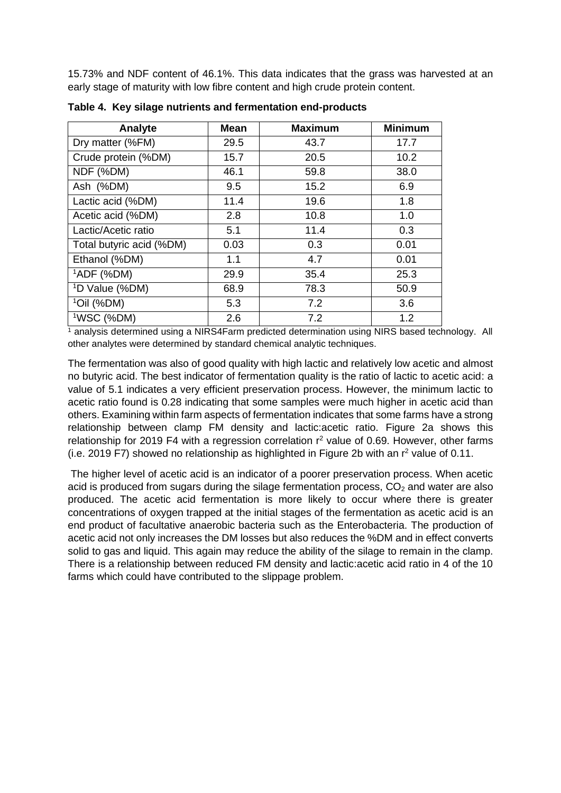15.73% and NDF content of 46.1%. This data indicates that the grass was harvested at an early stage of maturity with low fibre content and high crude protein content.

| Analyte                    | <b>Mean</b> | <b>Maximum</b> | <b>Minimum</b> |
|----------------------------|-------------|----------------|----------------|
| Dry matter (%FM)           | 29.5        | 43.7           | 17.7           |
| Crude protein (%DM)        | 15.7        | 20.5           | 10.2           |
| NDF (%DM)                  | 46.1        | 59.8           | 38.0           |
| Ash (%DM)                  | 9.5         | 15.2           | 6.9            |
| Lactic acid (%DM)          | 11.4        | 19.6           | 1.8            |
| Acetic acid (%DM)          | 2.8         | 10.8           | 1.0            |
| Lactic/Acetic ratio        | 5.1         | 11.4           | 0.3            |
| Total butyric acid (%DM)   | 0.03        | 0.3            | 0.01           |
| Ethanol (%DM)              | 1.1         | 4.7            | 0.01           |
| $1$ ADF (%DM)              | 29.9        | 35.4           | 25.3           |
| <sup>1</sup> D Value (%DM) | 68.9        | 78.3           | 50.9           |
| $1$ Oil (%DM)              | 5.3         | 7.2            | 3.6            |
| <sup>1</sup> WSC (%DM)     | 2.6         | 7.2            | 1.2            |

**Table 4. Key silage nutrients and fermentation end-products** 

 $1$  analysis determined using a NIRS4Farm predicted determination using NIRS based technology. All other analytes were determined by standard chemical analytic techniques.

The fermentation was also of good quality with high lactic and relatively low acetic and almost no butyric acid. The best indicator of fermentation quality is the ratio of lactic to acetic acid: a value of 5.1 indicates a very efficient preservation process. However, the minimum lactic to acetic ratio found is 0.28 indicating that some samples were much higher in acetic acid than others. Examining within farm aspects of fermentation indicates that some farms have a strong relationship between clamp FM density and lactic:acetic ratio. Figure 2a shows this relationship for 2019 F4 with a regression correlation  $r^2$  value of 0.69. However, other farms (i.e. 2019 F7) showed no relationship as highlighted in Figure 2b with an  $r^2$  value of 0.11.

The higher level of acetic acid is an indicator of a poorer preservation process. When acetic acid is produced from sugars during the silage fermentation process,  $CO<sub>2</sub>$  and water are also produced. The acetic acid fermentation is more likely to occur where there is greater concentrations of oxygen trapped at the initial stages of the fermentation as acetic acid is an end product of facultative anaerobic bacteria such as the Enterobacteria. The production of acetic acid not only increases the DM losses but also reduces the %DM and in effect converts solid to gas and liquid. This again may reduce the ability of the silage to remain in the clamp. There is a relationship between reduced FM density and lactic:acetic acid ratio in 4 of the 10 farms which could have contributed to the slippage problem.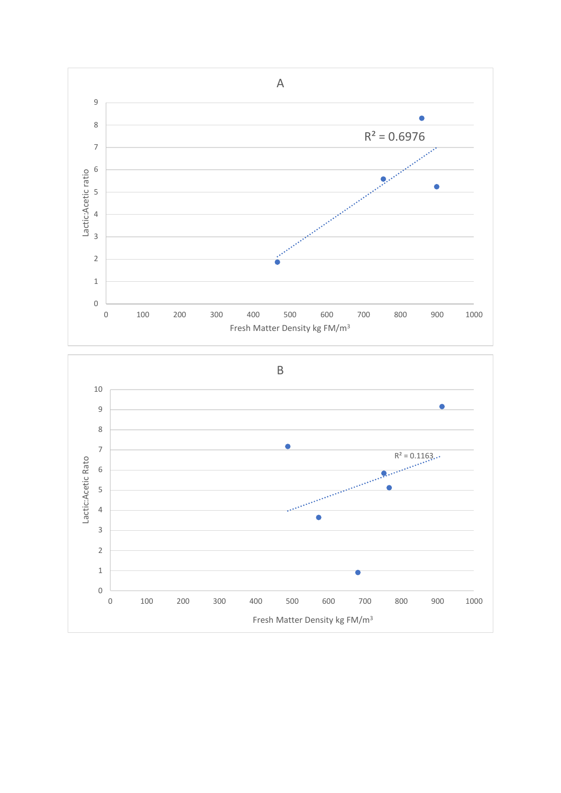

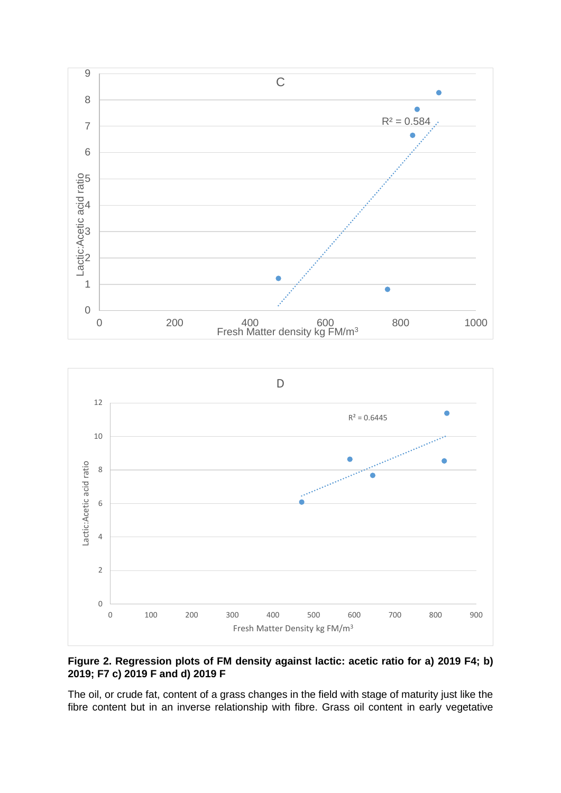



### **Figure 2. Regression plots of FM density against lactic: acetic ratio for a) 2019 F4; b) 2019; F7 c) 2019 F and d) 2019 F**

The oil, or crude fat, content of a grass changes in the field with stage of maturity just like the fibre content but in an inverse relationship with fibre. Grass oil content in early vegetative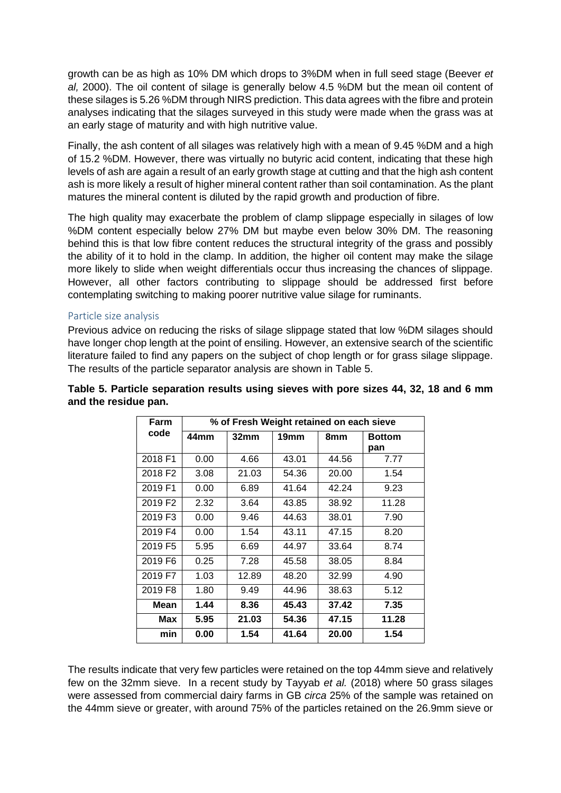growth can be as high as 10% DM which drops to 3%DM when in full seed stage (Beever *et al,* 2000). The oil content of silage is generally below 4.5 %DM but the mean oil content of these silages is 5.26 %DM through NIRS prediction. This data agrees with the fibre and protein analyses indicating that the silages surveyed in this study were made when the grass was at an early stage of maturity and with high nutritive value.

Finally, the ash content of all silages was relatively high with a mean of 9.45 %DM and a high of 15.2 %DM. However, there was virtually no butyric acid content, indicating that these high levels of ash are again a result of an early growth stage at cutting and that the high ash content ash is more likely a result of higher mineral content rather than soil contamination. As the plant matures the mineral content is diluted by the rapid growth and production of fibre.

The high quality may exacerbate the problem of clamp slippage especially in silages of low %DM content especially below 27% DM but maybe even below 30% DM. The reasoning behind this is that low fibre content reduces the structural integrity of the grass and possibly the ability of it to hold in the clamp. In addition, the higher oil content may make the silage more likely to slide when weight differentials occur thus increasing the chances of slippage. However, all other factors contributing to slippage should be addressed first before contemplating switching to making poorer nutritive value silage for ruminants.

### Particle size analysis

Previous advice on reducing the risks of silage slippage stated that low %DM silages should have longer chop length at the point of ensiling. However, an extensive search of the scientific literature failed to find any papers on the subject of chop length or for grass silage slippage. The results of the particle separator analysis are shown in Table 5.

| Farm                | % of Fresh Weight retained on each sieve |                  |       |       |               |
|---------------------|------------------------------------------|------------------|-------|-------|---------------|
| code                | 44mm                                     | 32 <sub>mm</sub> | 19mm  | 8mm   | <b>Bottom</b> |
|                     |                                          |                  |       |       | pan           |
| 2018 F1             | 0.00                                     | 4.66             | 43.01 | 44.56 | 7.77          |
| 2018 F <sub>2</sub> | 3.08                                     | 21.03            | 54.36 | 20.00 | 1.54          |
| 2019 F1             | 0.00                                     | 6.89             | 41.64 | 42.24 | 9.23          |
| 2019 F2             | 2.32                                     | 3.64             | 43.85 | 38.92 | 11.28         |
| 2019 F3             | 0.00                                     | 9.46             | 44.63 | 38.01 | 7.90          |
| 2019 F4             | 0.00                                     | 1.54             | 43.11 | 47.15 | 8.20          |
| 2019 F5             | 5.95                                     | 6.69             | 44.97 | 33.64 | 8.74          |
| 2019 F6             | 0.25                                     | 7.28             | 45.58 | 38.05 | 8.84          |
| 2019 F7             | 1.03                                     | 12.89            | 48.20 | 32.99 | 4.90          |
| 2019 F8             | 1.80                                     | 9.49             | 44.96 | 38.63 | 5.12          |
| Mean                | 1.44                                     | 8.36             | 45.43 | 37.42 | 7.35          |
| Max                 | 5.95                                     | 21.03            | 54.36 | 47.15 | 11.28         |
| min                 | 0.00                                     | 1.54             | 41.64 | 20.00 | 1.54          |

### **Table 5. Particle separation results using sieves with pore sizes 44, 32, 18 and 6 mm and the residue pan.**

The results indicate that very few particles were retained on the top 44mm sieve and relatively few on the 32mm sieve. In a recent study by Tayyab *et al.* (2018) where 50 grass silages were assessed from commercial dairy farms in GB *circa* 25% of the sample was retained on the 44mm sieve or greater, with around 75% of the particles retained on the 26.9mm sieve or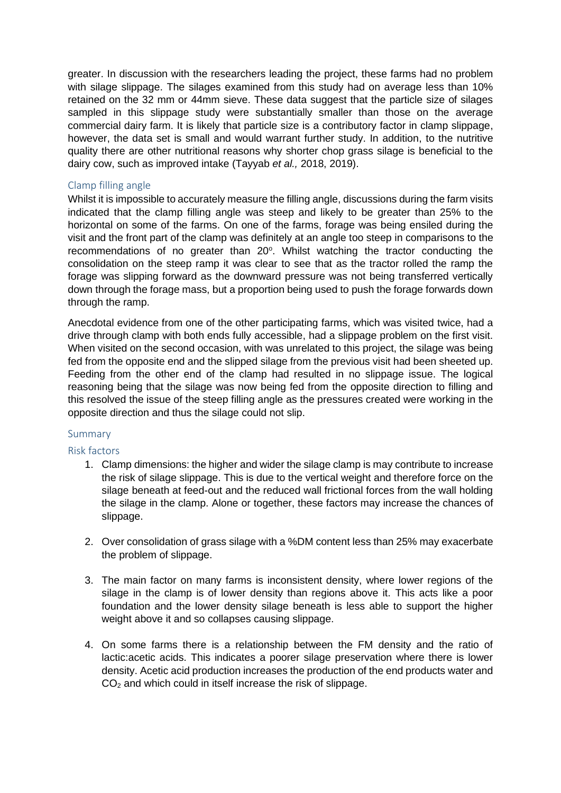greater. In discussion with the researchers leading the project, these farms had no problem with silage slippage. The silages examined from this study had on average less than 10% retained on the 32 mm or 44mm sieve. These data suggest that the particle size of silages sampled in this slippage study were substantially smaller than those on the average commercial dairy farm. It is likely that particle size is a contributory factor in clamp slippage, however, the data set is small and would warrant further study. In addition, to the nutritive quality there are other nutritional reasons why shorter chop grass silage is beneficial to the dairy cow, such as improved intake (Tayyab *et al.,* 2018, 2019).

#### Clamp filling angle

Whilst it is impossible to accurately measure the filling angle, discussions during the farm visits indicated that the clamp filling angle was steep and likely to be greater than 25% to the horizontal on some of the farms. On one of the farms, forage was being ensiled during the visit and the front part of the clamp was definitely at an angle too steep in comparisons to the recommendations of no greater than 20°. Whilst watching the tractor conducting the consolidation on the steep ramp it was clear to see that as the tractor rolled the ramp the forage was slipping forward as the downward pressure was not being transferred vertically down through the forage mass, but a proportion being used to push the forage forwards down through the ramp.

Anecdotal evidence from one of the other participating farms, which was visited twice, had a drive through clamp with both ends fully accessible, had a slippage problem on the first visit. When visited on the second occasion, with was unrelated to this project, the silage was being fed from the opposite end and the slipped silage from the previous visit had been sheeted up. Feeding from the other end of the clamp had resulted in no slippage issue. The logical reasoning being that the silage was now being fed from the opposite direction to filling and this resolved the issue of the steep filling angle as the pressures created were working in the opposite direction and thus the silage could not slip.

#### Summary

#### Risk factors

- 1. Clamp dimensions: the higher and wider the silage clamp is may contribute to increase the risk of silage slippage. This is due to the vertical weight and therefore force on the silage beneath at feed-out and the reduced wall frictional forces from the wall holding the silage in the clamp. Alone or together, these factors may increase the chances of slippage.
- 2. Over consolidation of grass silage with a %DM content less than 25% may exacerbate the problem of slippage.
- 3. The main factor on many farms is inconsistent density, where lower regions of the silage in the clamp is of lower density than regions above it. This acts like a poor foundation and the lower density silage beneath is less able to support the higher weight above it and so collapses causing slippage.
- 4. On some farms there is a relationship between the FM density and the ratio of lactic:acetic acids. This indicates a poorer silage preservation where there is lower density. Acetic acid production increases the production of the end products water and CO<sup>2</sup> and which could in itself increase the risk of slippage.